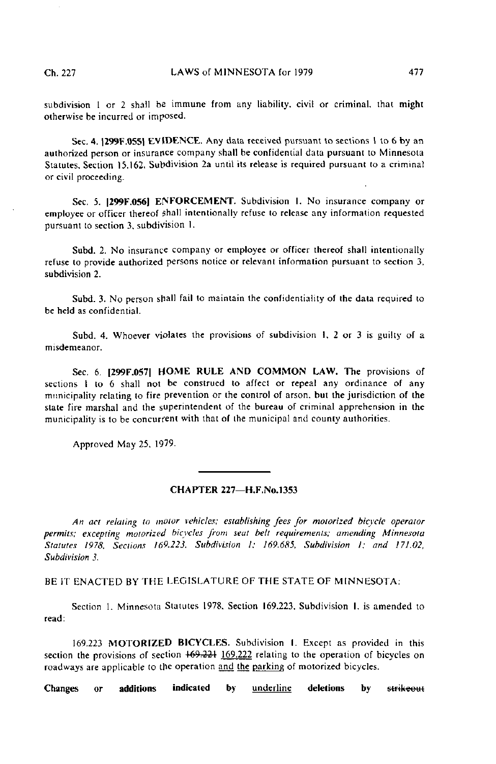subdivision 1 or 2 shall be immune from any liability, civil or criminal, that might otherwise be incurred or imposed.

Sec. 4. |299F.055| EVIDENCE. Any dala received pursuant to sections 1 to 6 by an authorized person or insurance company shall be confidential data pursuant to Minnesota Statutes, Section 15.162, Subdivision 2a until its release is required pursuant to a criminal or civil proceeding.

Sec. 5. |299F.056) ENFORCEMENT. Subdivision I. No insurance company or employee or officer thereof shall intentionally refuse to release any information requested pursuant to section 3, subdivision 1.

Subd. 2. No insurance company or employee or officer thereof shall intentionally refuse to provide authorized persons notice or relevant information pursuant to section 3, subdivision 2.

Subd. 3. No person shall fail to maintain the confidentiality of the data required to be held as confidential.

Subd. 4. Whoever violates the provisions of subdivision !, 2 or 3 is guilty of a misdemeanor.

Sec. 6. |299F.057| HOME RULE AND COMMON LAW. The provisions of sections I to 6 shall not be construed to affect or repeal any ordinance of any municipality relating to fire prevention or the control of arson, but the jurisdiction of the state fire marshal and the superintendent of the bureau of criminal apprehension in the municipality is to be concurrent with that of the municipal and county authorities.

Approved May 25, 1979.

## CHAPTER 227—H.F.No. 1353

An act relating to motor vehicles; establishing fees for motorized bicycle operator permits; excepting motorized bicycles from seat belt requirements; amending Minnesota Statutes 1978, Sections 169.223, Subdivision I; 169.685, Subdivision I; and 171.02, Subdivision 3.

BE IT ENACTED BY THE LEGISLATURE OF THE STATE OF MINNESOTA:

Section 1. Minnesota Statutes 1978. Section 169.223, Subdivision I, is amended to read:

169.223 MOTORIZED BICYCLES. Subdivision I. Except as provided in this section the provisions of section  $169.221 \overline{169.222}$  relating to the operation of bicycles on roadways are applicable to the operation and the parking of motorized bicycles.

Changes or additions indicated by **underline** deletions by strikeout